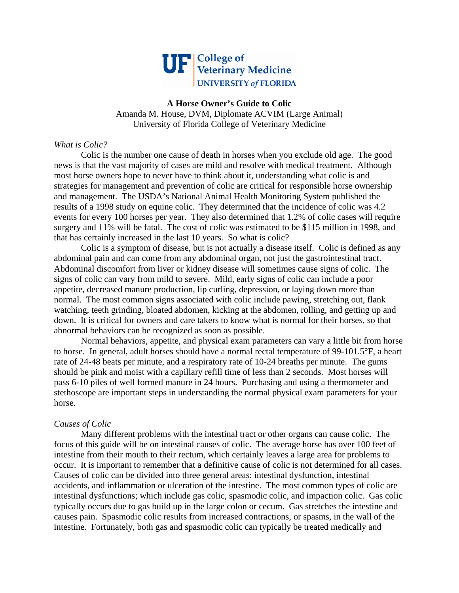

**A Horse Owner's Guide to Colic**  Amanda M. House, DVM, Diplomate ACVIM (Large Animal) University of Florida College of Veterinary Medicine

# *What is Colic?*

 Colic is the number one cause of death in horses when you exclude old age. The good news is that the vast majority of cases are mild and resolve with medical treatment. Although most horse owners hope to never have to think about it, understanding what colic is and strategies for management and prevention of colic are critical for responsible horse ownership and management. The USDA's National Animal Health Monitoring System published the results of a 1998 study on equine colic. They determined that the incidence of colic was 4.2 events for every 100 horses per year. They also determined that 1.2% of colic cases will require surgery and 11% will be fatal. The cost of colic was estimated to be \$115 million in 1998, and that has certainly increased in the last 10 years. So what is colic?

 Colic is a symptom of disease, but is not actually a disease itself. Colic is defined as any abdominal pain and can come from any abdominal organ, not just the gastrointestinal tract. Abdominal discomfort from liver or kidney disease will sometimes cause signs of colic. The signs of colic can vary from mild to severe. Mild, early signs of colic can include a poor appetite, decreased manure production, lip curling, depression, or laying down more than normal. The most common signs associated with colic include pawing, stretching out, flank watching, teeth grinding, bloated abdomen, kicking at the abdomen, rolling, and getting up and down. It is critical for owners and care takers to know what is normal for their horses, so that abnormal behaviors can be recognized as soon as possible.

 Normal behaviors, appetite, and physical exam parameters can vary a little bit from horse to horse. In general, adult horses should have a normal rectal temperature of 99-101.5°F, a heart rate of 24-48 beats per minute, and a respiratory rate of 10-24 breaths per minute. The gums should be pink and moist with a capillary refill time of less than 2 seconds. Most horses will pass 6-10 piles of well formed manure in 24 hours. Purchasing and using a thermometer and stethoscope are important steps in understanding the normal physical exam parameters for your horse.

## *Causes of Colic*

 Many different problems with the intestinal tract or other organs can cause colic. The focus of this guide will be on intestinal causes of colic. The average horse has over 100 feet of intestine from their mouth to their rectum, which certainly leaves a large area for problems to occur. It is important to remember that a definitive cause of colic is not determined for all cases. Causes of colic can be divided into three general areas: intestinal dysfunction, intestinal accidents, and inflammation or ulceration of the intestine. The most common types of colic are intestinal dysfunctions; which include gas colic, spasmodic colic, and impaction colic. Gas colic typically occurs due to gas build up in the large colon or cecum. Gas stretches the intestine and causes pain. Spasmodic colic results from increased contractions, or spasms, in the wall of the intestine. Fortunately, both gas and spasmodic colic can typically be treated medically and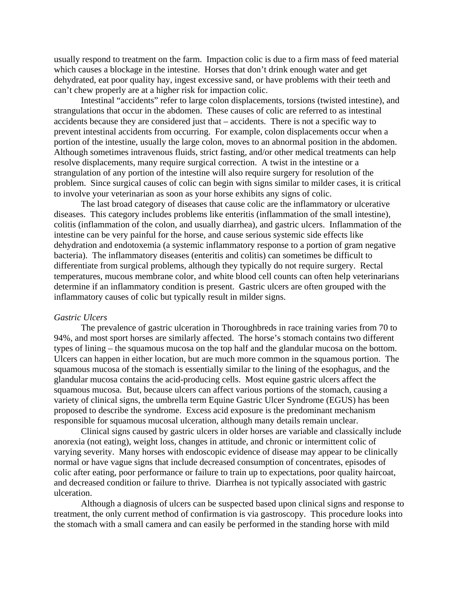usually respond to treatment on the farm. Impaction colic is due to a firm mass of feed material which causes a blockage in the intestine. Horses that don't drink enough water and get dehydrated, eat poor quality hay, ingest excessive sand, or have problems with their teeth and can't chew properly are at a higher risk for impaction colic.

 Intestinal "accidents" refer to large colon displacements, torsions (twisted intestine), and strangulations that occur in the abdomen. These causes of colic are referred to as intestinal accidents because they are considered just that – accidents. There is not a specific way to prevent intestinal accidents from occurring. For example, colon displacements occur when a portion of the intestine, usually the large colon, moves to an abnormal position in the abdomen. Although sometimes intravenous fluids, strict fasting, and/or other medical treatments can help resolve displacements, many require surgical correction. A twist in the intestine or a strangulation of any portion of the intestine will also require surgery for resolution of the problem. Since surgical causes of colic can begin with signs similar to milder cases, it is critical to involve your veterinarian as soon as your horse exhibits any signs of colic.

 The last broad category of diseases that cause colic are the inflammatory or ulcerative diseases. This category includes problems like enteritis (inflammation of the small intestine), colitis (inflammation of the colon, and usually diarrhea), and gastric ulcers. Inflammation of the intestine can be very painful for the horse, and cause serious systemic side effects like dehydration and endotoxemia (a systemic inflammatory response to a portion of gram negative bacteria). The inflammatory diseases (enteritis and colitis) can sometimes be difficult to differentiate from surgical problems, although they typically do not require surgery. Rectal temperatures, mucous membrane color, and white blood cell counts can often help veterinarians determine if an inflammatory condition is present. Gastric ulcers are often grouped with the inflammatory causes of colic but typically result in milder signs.

#### *Gastric Ulcers*

 The prevalence of gastric ulceration in Thoroughbreds in race training varies from 70 to 94%, and most sport horses are similarly affected. The horse's stomach contains two different types of lining – the squamous mucosa on the top half and the glandular mucosa on the bottom. Ulcers can happen in either location, but are much more common in the squamous portion. The squamous mucosa of the stomach is essentially similar to the lining of the esophagus, and the glandular mucosa contains the acid-producing cells. Most equine gastric ulcers affect the squamous mucosa. But, because ulcers can affect various portions of the stomach, causing a variety of clinical signs, the umbrella term Equine Gastric Ulcer Syndrome (EGUS) has been proposed to describe the syndrome. Excess acid exposure is the predominant mechanism responsible for squamous mucosal ulceration, although many details remain unclear.

Clinical signs caused by gastric ulcers in older horses are variable and classically include anorexia (not eating), weight loss, changes in attitude, and chronic or intermittent colic of varying severity. Many horses with endoscopic evidence of disease may appear to be clinically normal or have vague signs that include decreased consumption of concentrates, episodes of colic after eating, poor performance or failure to train up to expectations, poor quality haircoat, and decreased condition or failure to thrive. Diarrhea is not typically associated with gastric ulceration.

Although a diagnosis of ulcers can be suspected based upon clinical signs and response to treatment, the only current method of confirmation is via gastroscopy. This procedure looks into the stomach with a small camera and can easily be performed in the standing horse with mild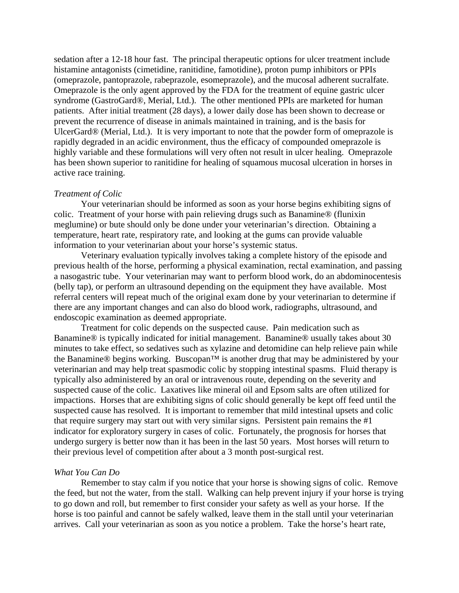sedation after a 12-18 hour fast. The principal therapeutic options for ulcer treatment include histamine antagonists (cimetidine, ranitidine, famotidine), proton pump inhibitors or PPIs (omeprazole, pantoprazole, rabeprazole, esomeprazole), and the mucosal adherent sucralfate. Omeprazole is the only agent approved by the FDA for the treatment of equine gastric ulcer syndrome (GastroGard®, Merial, Ltd.). The other mentioned PPIs are marketed for human patients. After initial treatment (28 days), a lower daily dose has been shown to decrease or prevent the recurrence of disease in animals maintained in training, and is the basis for UlcerGard® (Merial, Ltd.). It is very important to note that the powder form of omeprazole is rapidly degraded in an acidic environment, thus the efficacy of compounded omeprazole is highly variable and these formulations will very often not result in ulcer healing. Omeprazole has been shown superior to ranitidine for healing of squamous mucosal ulceration in horses in active race training.

#### *Treatment of Colic*

 Your veterinarian should be informed as soon as your horse begins exhibiting signs of colic. Treatment of your horse with pain relieving drugs such as Banamine® (flunixin meglumine) or bute should only be done under your veterinarian's direction. Obtaining a temperature, heart rate, respiratory rate, and looking at the gums can provide valuable information to your veterinarian about your horse's systemic status.

 Veterinary evaluation typically involves taking a complete history of the episode and previous health of the horse, performing a physical examination, rectal examination, and passing a nasogastric tube. Your veterinarian may want to perform blood work, do an abdominocentesis (belly tap), or perform an ultrasound depending on the equipment they have available. Most referral centers will repeat much of the original exam done by your veterinarian to determine if there are any important changes and can also do blood work, radiographs, ultrasound, and endoscopic examination as deemed appropriate.

 Treatment for colic depends on the suspected cause. Pain medication such as Banamine® is typically indicated for initial management. Banamine® usually takes about 30 minutes to take effect, so sedatives such as xylazine and detomidine can help relieve pain while the Banamine® begins working. Buscopan™ is another drug that may be administered by your veterinarian and may help treat spasmodic colic by stopping intestinal spasms. Fluid therapy is typically also administered by an oral or intravenous route, depending on the severity and suspected cause of the colic. Laxatives like mineral oil and Epsom salts are often utilized for impactions. Horses that are exhibiting signs of colic should generally be kept off feed until the suspected cause has resolved. It is important to remember that mild intestinal upsets and colic that require surgery may start out with very similar signs. Persistent pain remains the #1 indicator for exploratory surgery in cases of colic. Fortunately, the prognosis for horses that undergo surgery is better now than it has been in the last 50 years. Most horses will return to their previous level of competition after about a 3 month post-surgical rest.

#### *What You Can Do*

 Remember to stay calm if you notice that your horse is showing signs of colic. Remove the feed, but not the water, from the stall. Walking can help prevent injury if your horse is trying to go down and roll, but remember to first consider your safety as well as your horse. If the horse is too painful and cannot be safely walked, leave them in the stall until your veterinarian arrives. Call your veterinarian as soon as you notice a problem. Take the horse's heart rate,